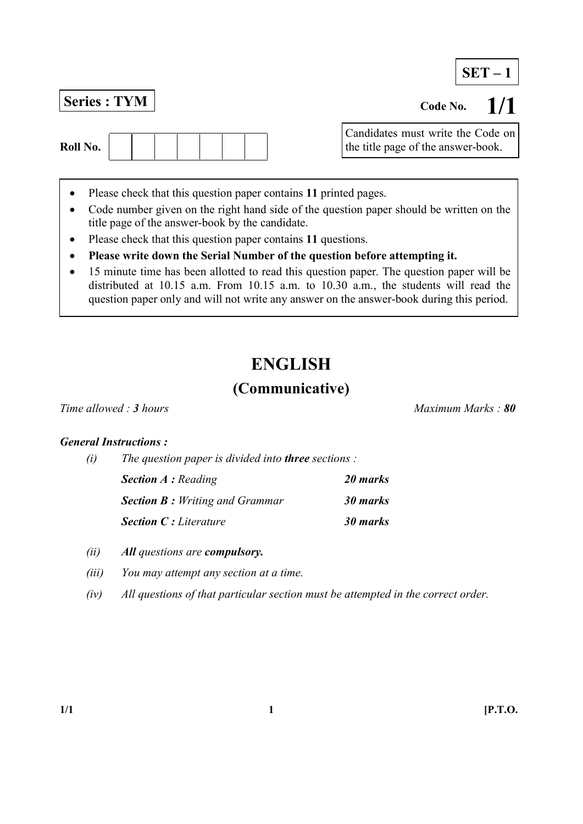# $SET - 1$

Roll No.

 $Series : TYM$   $\qquad \qquad \text{Code No.} \qquad 1/1$ Code No.

> Candidates must write the Code on the title page of the answer-book.

- Please check that this question paper contains 11 printed pages.
- Code number given on the right hand side of the question paper should be written on the title page of the answer-book by the candidate.
- Please check that this question paper contains 11 questions.
- Please write down the Serial Number of the question before attempting it.
- 15 minute time has been allotted to read this question paper. The question paper will be distributed at 10.15 a.m. From 10.15 a.m. to 10.30 a.m., the students will read the question paper only and will not write any answer on the answer-book during this period.

# ENGLISH

# (Communicative)

Time allowed : 3 hours and the state of the Maximum Marks : 80

## General Instructions :

| (i) | The question paper is divided into <b>three</b> sections : |          |  |  |  |
|-----|------------------------------------------------------------|----------|--|--|--|
|     | <b>Section A</b> : Reading                                 | 20 marks |  |  |  |
|     | <b>Section B:</b> Writing and Grammar                      | 30 marks |  |  |  |

Section C: Literature 30 marks

- (ii) All questions are compulsory.
- (iii) You may attempt any section at a time.
- (iv) All questions of that particular section must be attempted in the correct order.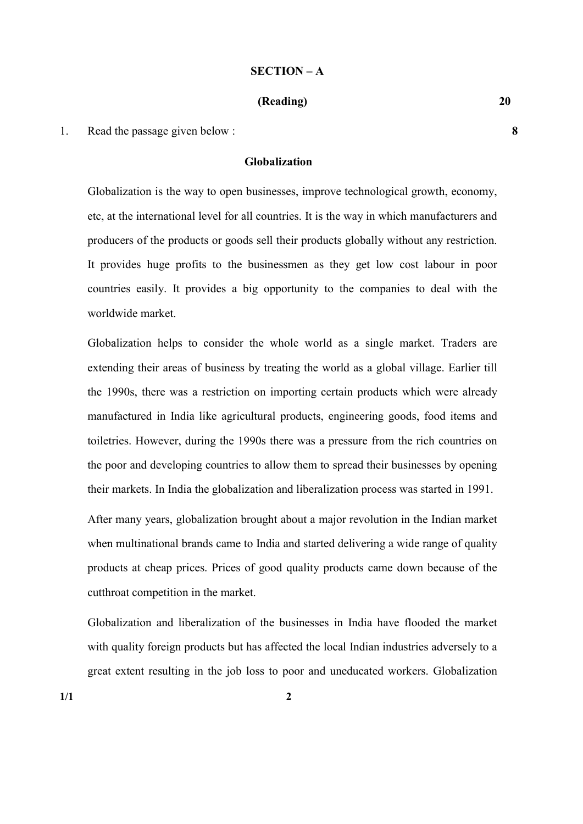## SECTION – A

### (Reading) 20

#### Globalization

 Globalization is the way to open businesses, improve technological growth, economy, etc, at the international level for all countries. It is the way in which manufacturers and producers of the products or goods sell their products globally without any restriction. It provides huge profits to the businessmen as they get low cost labour in poor countries easily. It provides a big opportunity to the companies to deal with the worldwide market.

 Globalization helps to consider the whole world as a single market. Traders are extending their areas of business by treating the world as a global village. Earlier till the 1990s, there was a restriction on importing certain products which were already manufactured in India like agricultural products, engineering goods, food items and toiletries. However, during the 1990s there was a pressure from the rich countries on the poor and developing countries to allow them to spread their businesses by opening their markets. In India the globalization and liberalization process was started in 1991.

 After many years, globalization brought about a major revolution in the Indian market when multinational brands came to India and started delivering a wide range of quality products at cheap prices. Prices of good quality products came down because of the cutthroat competition in the market.

 Globalization and liberalization of the businesses in India have flooded the market with quality foreign products but has affected the local Indian industries adversely to a great extent resulting in the job loss to poor and uneducated workers. Globalization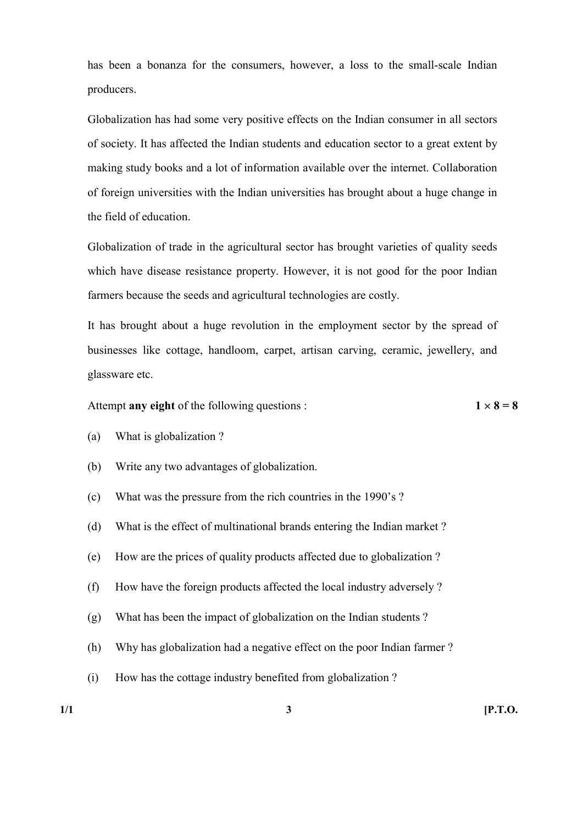has been a bonanza for the consumers, however, a loss to the small-scale Indian producers.

 Globalization has had some very positive effects on the Indian consumer in all sectors of society. It has affected the Indian students and education sector to a great extent by making study books and a lot of information available over the internet. Collaboration of foreign universities with the Indian universities has brought about a huge change in the field of education.

 Globalization of trade in the agricultural sector has brought varieties of quality seeds which have disease resistance property. However, it is not good for the poor Indian farmers because the seeds and agricultural technologies are costly.

 It has brought about a huge revolution in the employment sector by the spread of businesses like cottage, handloom, carpet, artisan carving, ceramic, jewellery, and glassware etc.

Attempt any eight of the following questions :  $1 \times 8 = 8$ 

- (a) What is globalization ?
- (b) Write any two advantages of globalization.
- (c) What was the pressure from the rich countries in the 1990's ?
- (d) What is the effect of multinational brands entering the Indian market ?
- (e) How are the prices of quality products affected due to globalization ?
- (f) How have the foreign products affected the local industry adversely ?
- (g) What has been the impact of globalization on the Indian students ?
- (h) Why has globalization had a negative effect on the poor Indian farmer ?
- (i) How has the cottage industry benefited from globalization ?

 $1/1$   $3$   $[P.T.O.$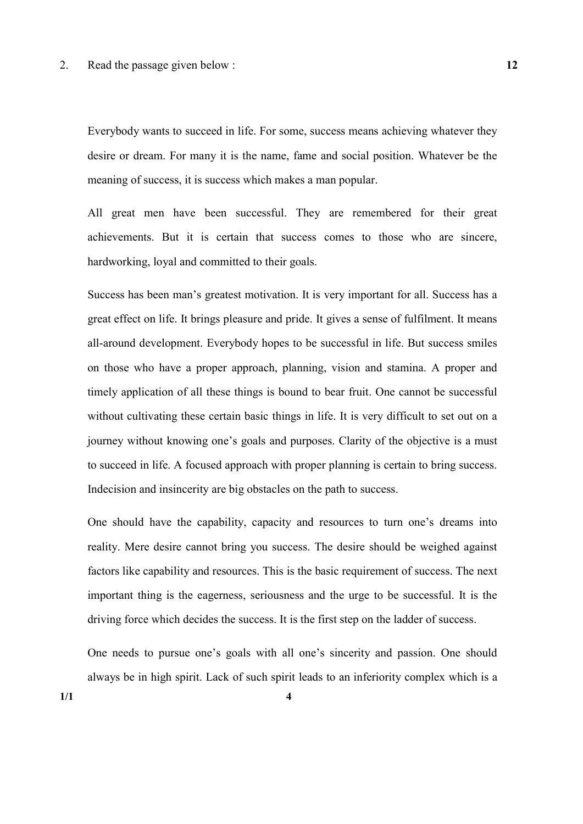Everybody wants to succeed in life. For some, success means achieving whatever they desire or dream. For many it is the name, fame and social position. Whatever be the meaning of success, it is success which makes a man popular.

 All great men have been successful. They are remembered for their great achievements. But it is certain that success comes to those who are sincere, hardworking, loyal and committed to their goals.

 Success has been man's greatest motivation. It is very important for all. Success has a great effect on life. It brings pleasure and pride. It gives a sense of fulfilment. It means all-around development. Everybody hopes to be successful in life. But success smiles on those who have a proper approach, planning, vision and stamina. A proper and timely application of all these things is bound to bear fruit. One cannot be successful without cultivating these certain basic things in life. It is very difficult to set out on a journey without knowing one's goals and purposes. Clarity of the objective is a must to succeed in life. A focused approach with proper planning is certain to bring success. Indecision and insincerity are big obstacles on the path to success.

 One should have the capability, capacity and resources to turn one's dreams into reality. Mere desire cannot bring you success. The desire should be weighed against factors like capability and resources. This is the basic requirement of success. The next important thing is the eagerness, seriousness and the urge to be successful. It is the driving force which decides the success. It is the first step on the ladder of success.

 One needs to pursue one's goals with all one's sincerity and passion. One should always be in high spirit. Lack of such spirit leads to an inferiority complex which is a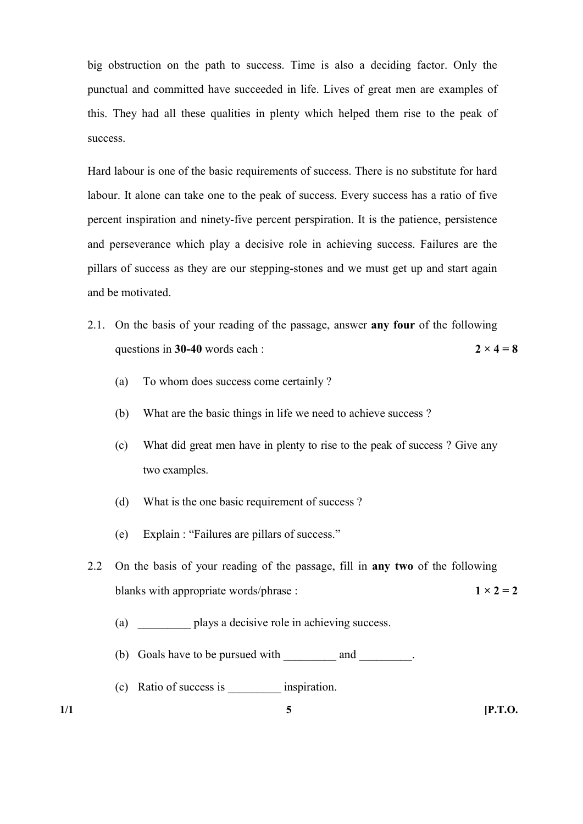big obstruction on the path to success. Time is also a deciding factor. Only the punctual and committed have succeeded in life. Lives of great men are examples of this. They had all these qualities in plenty which helped them rise to the peak of success.

 Hard labour is one of the basic requirements of success. There is no substitute for hard labour. It alone can take one to the peak of success. Every success has a ratio of five percent inspiration and ninety-five percent perspiration. It is the patience, persistence and perseverance which play a decisive role in achieving success. Failures are the pillars of success as they are our stepping-stones and we must get up and start again and be motivated.

- 2.1. On the basis of your reading of the passage, answer any four of the following questions in 30-40 words each :  $2 \times 4 = 8$ 
	- (a) To whom does success come certainly ?
	- (b) What are the basic things in life we need to achieve success ?
	- (c) What did great men have in plenty to rise to the peak of success ? Give any two examples.
	- (d) What is the one basic requirement of success ?
	- (e) Explain : "Failures are pillars of success."
- 2.2 On the basis of your reading of the passage, fill in any two of the following blanks with appropriate words/phrase :  $1 \times 2 = 2$ 
	- (a) plays a decisive role in achieving success.
	- (b) Goals have to be pursued with \_\_\_\_\_\_\_\_\_ and \_\_\_\_\_\_\_\_.
	- (c) Ratio of success is \_\_\_\_\_\_\_\_\_ inspiration.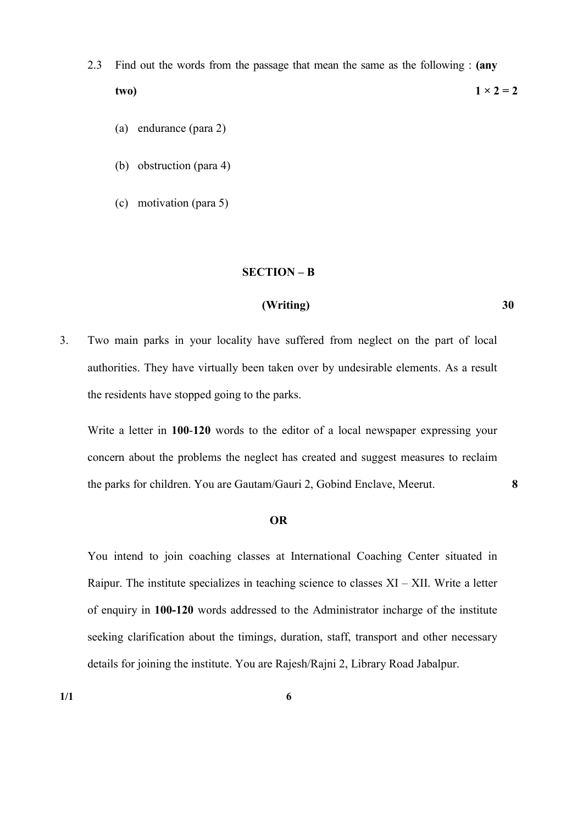- 2.3 Find out the words from the passage that mean the same as the following : (any two)  $1 \times 2 = 2$ 
	- (a) endurance (para 2)
	- (b) obstruction (para 4)
	- (c) motivation (para 5)

#### SECTION – B

## (Writing) 30

3. Two main parks in your locality have suffered from neglect on the part of local authorities. They have virtually been taken over by undesirable elements. As a result the residents have stopped going to the parks.

Write a letter in 100-120 words to the editor of a local newspaper expressing your concern about the problems the neglect has created and suggest measures to reclaim the parks for children. You are Gautam/Gauri 2, Gobind Enclave, Meerut. 8

#### OR

 You intend to join coaching classes at International Coaching Center situated in Raipur. The institute specializes in teaching science to classes  $XI - XII$ . Write a letter of enquiry in 100-120 words addressed to the Administrator incharge of the institute seeking clarification about the timings, duration, staff, transport and other necessary details for joining the institute. You are Rajesh/Rajni 2, Library Road Jabalpur.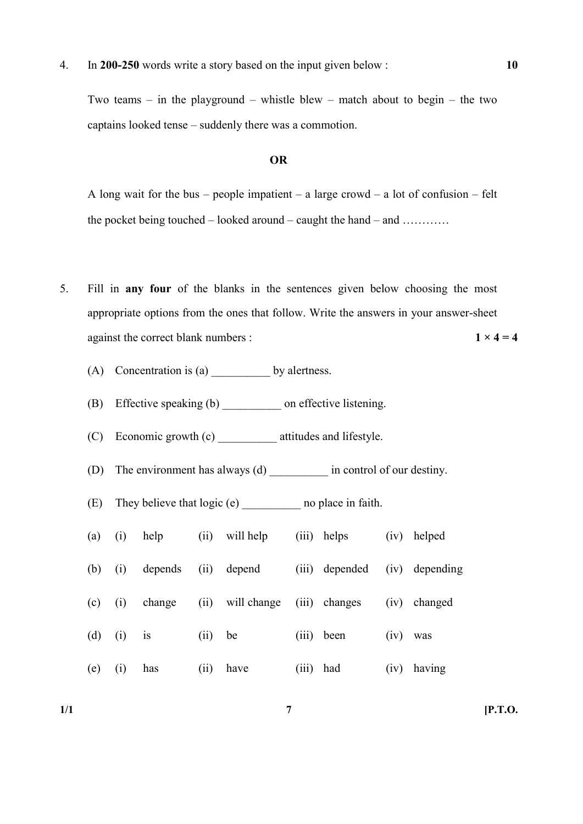4. In 200-250 words write a story based on the input given below : 10

Two teams – in the playground – whistle blew – match about to begin – the two captains looked tense – suddenly there was a commotion.

#### OR

A long wait for the bus – people impatient – a large crowd – a lot of confusion – felt the pocket being touched – looked around – caught the hand – and  $\dots$ 

- 5. Fill in any four of the blanks in the sentences given below choosing the most appropriate options from the ones that follow. Write the answers in your answer-sheet against the correct blank numbers :  $1 \times 4 = 4$ 
	- (A) Concentration is (a) by alertness.
	- (B) Effective speaking (b) on effective listening.
	- (C) Economic growth (c) attitudes and lifestyle.
	- (D) The environment has always (d) \_\_\_\_\_\_\_\_\_\_\_ in control of our destiny.
	- (E) They believe that logic (e) \_\_\_\_\_\_\_\_\_\_ no place in faith.

| (a) | (i)               | help      |      | $(ii)$ will help               | $(iii)$ helps  | (iv) helped    |
|-----|-------------------|-----------|------|--------------------------------|----------------|----------------|
| (b) | (i)               | depends   | (ii) | depend                         | (iii) depended | (iv) depending |
| (c) | (i)               | change    |      | (ii) will change (iii) changes |                | (iv) changed   |
|     | $(d)$ $(i)$       | <i>is</i> | (ii) | be                             | $(iii)$ been   | $(iv)$ was     |
| (e) | $\left( i\right)$ | has       | (i)  | have                           | $(iii)$ had    | (iv) having    |

 $1/1$  [P.T.O.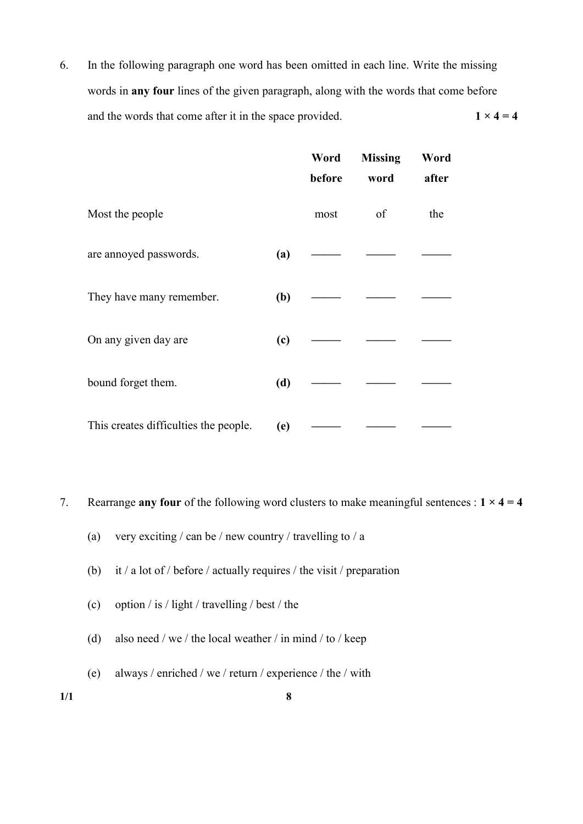6. In the following paragraph one word has been omitted in each line. Write the missing words in any four lines of the given paragraph, along with the words that come before and the words that come after it in the space provided.  $1 \times 4 = 4$ 

|                                       |     | Word<br>before | <b>Missing</b><br>word | Word<br>after |
|---------------------------------------|-----|----------------|------------------------|---------------|
| Most the people                       |     | most           | of                     | the           |
| are annoyed passwords.                | (a) |                |                        |               |
| They have many remember.              | (b) |                |                        |               |
| On any given day are                  | (c) |                |                        |               |
| bound forget them.                    | (d) |                |                        |               |
| This creates difficulties the people. | (e) |                |                        |               |

7. Rearrange any four of the following word clusters to make meaningful sentences :  $1 \times 4 = 4$ 

- (a) very exciting / can be / new country / travelling to / a
- (b) it / a lot of / before / actually requires / the visit / preparation
- (c) option / is / light / travelling / best / the
- (d) also need / we / the local weather / in mind / to / keep
- (e) always / enriched / we / return / experience / the / with
- $1/1$  8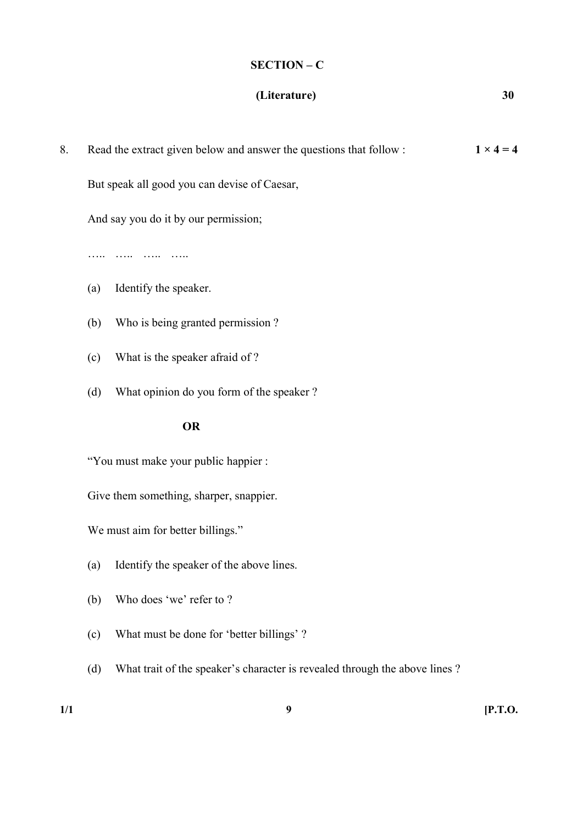### SECTION – C

# (Literature) 30

8. Read the extract given below and answer the questions that follow :  $1 \times 4 = 4$ 

But speak all good you can devise of Caesar,

And say you do it by our permission;

….. ….. ….. …..

- (a) Identify the speaker.
- (b) Who is being granted permission ?
- (c) What is the speaker afraid of ?
- (d) What opinion do you form of the speaker ?

## OR

"You must make your public happier :

Give them something, sharper, snappier.

We must aim for better billings."

- (a) Identify the speaker of the above lines.
- (b) Who does 'we' refer to ?
- (c) What must be done for 'better billings' ?
- (d) What trait of the speaker's character is revealed through the above lines ?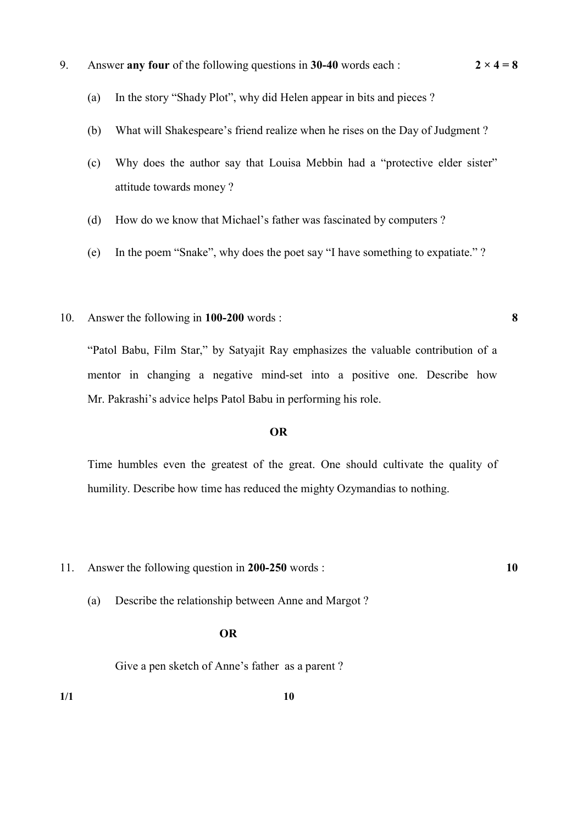- 9. Answer any four of the following questions in 30-40 words each :  $2 \times 4 = 8$ 
	- (a) In the story "Shady Plot", why did Helen appear in bits and pieces ?
	- (b) What will Shakespeare's friend realize when he rises on the Day of Judgment ?
	- (c) Why does the author say that Louisa Mebbin had a "protective elder sister" attitude towards money ?
	- (d) How do we know that Michael's father was fascinated by computers ?
	- (e) In the poem "Snake", why does the poet say "I have something to expatiate." ?
- 10. Answer the following in 100-200 words : 8

 "Patol Babu, Film Star," by Satyajit Ray emphasizes the valuable contribution of a mentor in changing a negative mind-set into a positive one. Describe how Mr. Pakrashi's advice helps Patol Babu in performing his role.

#### OR

 Time humbles even the greatest of the great. One should cultivate the quality of humility. Describe how time has reduced the mighty Ozymandias to nothing.

- 11. Answer the following question in 200-250 words : 10
	- (a) Describe the relationship between Anne and Margot ?

## OR

Give a pen sketch of Anne's father as a parent ?